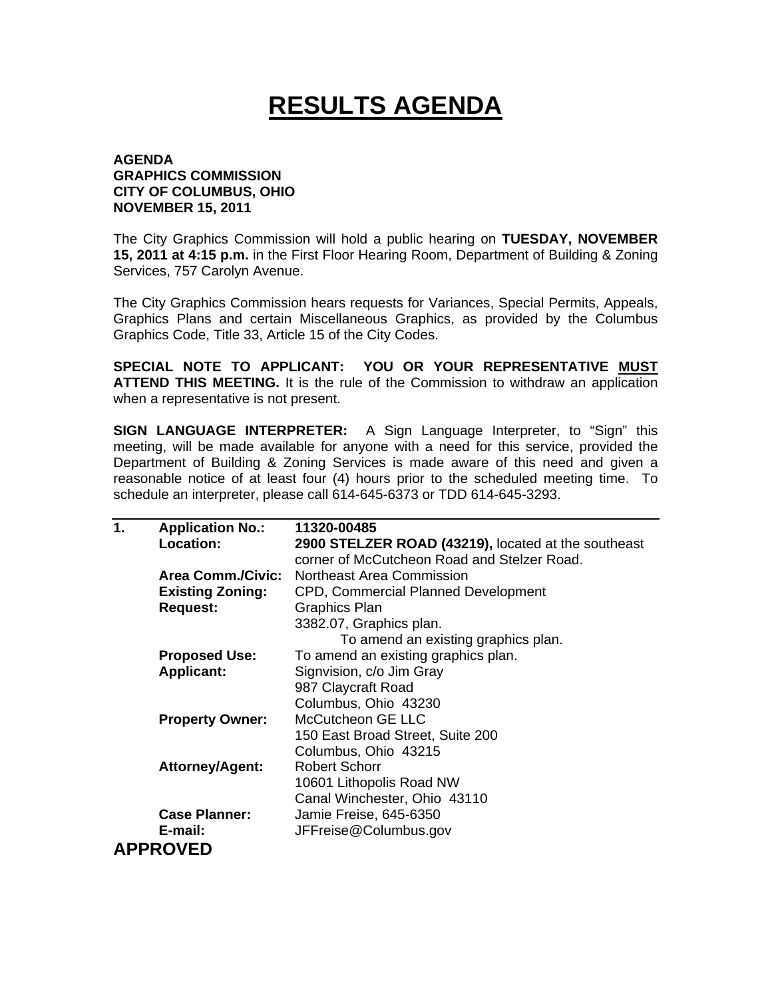## **RESULTS AGENDA**

## **AGENDA GRAPHICS COMMISSION CITY OF COLUMBUS, OHIO NOVEMBER 15, 2011**

The City Graphics Commission will hold a public hearing on **TUESDAY, NOVEMBER 15, 2011 at 4:15 p.m.** in the First Floor Hearing Room, Department of Building & Zoning Services, 757 Carolyn Avenue.

The City Graphics Commission hears requests for Variances, Special Permits, Appeals, Graphics Plans and certain Miscellaneous Graphics, as provided by the Columbus Graphics Code, Title 33, Article 15 of the City Codes.

**SPECIAL NOTE TO APPLICANT: YOU OR YOUR REPRESENTATIVE MUST ATTEND THIS MEETING.** It is the rule of the Commission to withdraw an application when a representative is not present.

**SIGN LANGUAGE INTERPRETER:** A Sign Language Interpreter, to "Sign" this meeting, will be made available for anyone with a need for this service, provided the Department of Building & Zoning Services is made aware of this need and given a reasonable notice of at least four (4) hours prior to the scheduled meeting time. To schedule an interpreter, please call 614-645-6373 or TDD 614-645-3293.

| 11320-00485                                         |
|-----------------------------------------------------|
| 2900 STELZER ROAD (43219), located at the southeast |
| corner of McCutcheon Road and Stelzer Road.         |
| Area Comm./Civic:<br>Northeast Area Commission      |
| CPD, Commercial Planned Development                 |
| <b>Graphics Plan</b>                                |
| 3382.07, Graphics plan.                             |
| To amend an existing graphics plan.                 |
| To amend an existing graphics plan.                 |
| Signvision, c/o Jim Gray                            |
| 987 Claycraft Road                                  |
| Columbus, Ohio 43230                                |
| McCutcheon GE LLC                                   |
| 150 East Broad Street, Suite 200                    |
| Columbus, Ohio 43215                                |
| <b>Robert Schorr</b>                                |
| 10601 Lithopolis Road NW                            |
| Canal Winchester, Ohio 43110                        |
| Jamie Freise, 645-6350                              |
| JFFreise@Columbus.gov                               |
|                                                     |
|                                                     |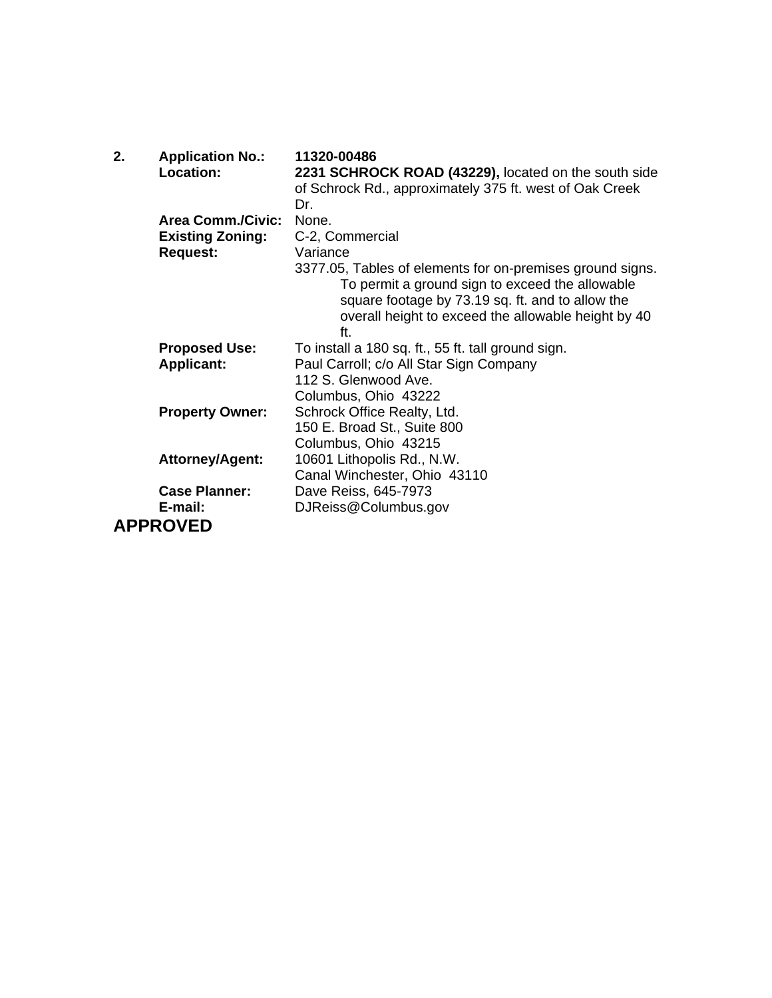| 2. | <b>Application No.:</b><br>Location: | 11320-00486<br>2231 SCHROCK ROAD (43229), located on the south side<br>of Schrock Rd., approximately 375 ft. west of Oak Creek<br>Dr.                                                                                          |
|----|--------------------------------------|--------------------------------------------------------------------------------------------------------------------------------------------------------------------------------------------------------------------------------|
|    | <b>Area Comm./Civic:</b>             | None.                                                                                                                                                                                                                          |
|    | <b>Existing Zoning:</b>              | C-2, Commercial                                                                                                                                                                                                                |
|    | <b>Request:</b>                      | Variance                                                                                                                                                                                                                       |
|    |                                      | 3377.05, Tables of elements for on-premises ground signs.<br>To permit a ground sign to exceed the allowable<br>square footage by 73.19 sq. ft. and to allow the<br>overall height to exceed the allowable height by 40<br>ft. |
|    | <b>Proposed Use:</b>                 | To install a 180 sq. ft., 55 ft. tall ground sign.                                                                                                                                                                             |
|    | <b>Applicant:</b>                    | Paul Carroll; c/o All Star Sign Company                                                                                                                                                                                        |
|    |                                      | 112 S. Glenwood Ave.                                                                                                                                                                                                           |
|    |                                      | Columbus, Ohio 43222                                                                                                                                                                                                           |
|    | <b>Property Owner:</b>               | Schrock Office Realty, Ltd.                                                                                                                                                                                                    |
|    |                                      | 150 E. Broad St., Suite 800                                                                                                                                                                                                    |
|    |                                      | Columbus, Ohio 43215                                                                                                                                                                                                           |
|    | <b>Attorney/Agent:</b>               | 10601 Lithopolis Rd., N.W.<br>Canal Winchester, Ohio 43110                                                                                                                                                                     |
|    | <b>Case Planner:</b>                 | Dave Reiss, 645-7973                                                                                                                                                                                                           |
|    | E-mail:                              | DJReiss@Columbus.gov                                                                                                                                                                                                           |
|    | <b>APPROVED</b>                      |                                                                                                                                                                                                                                |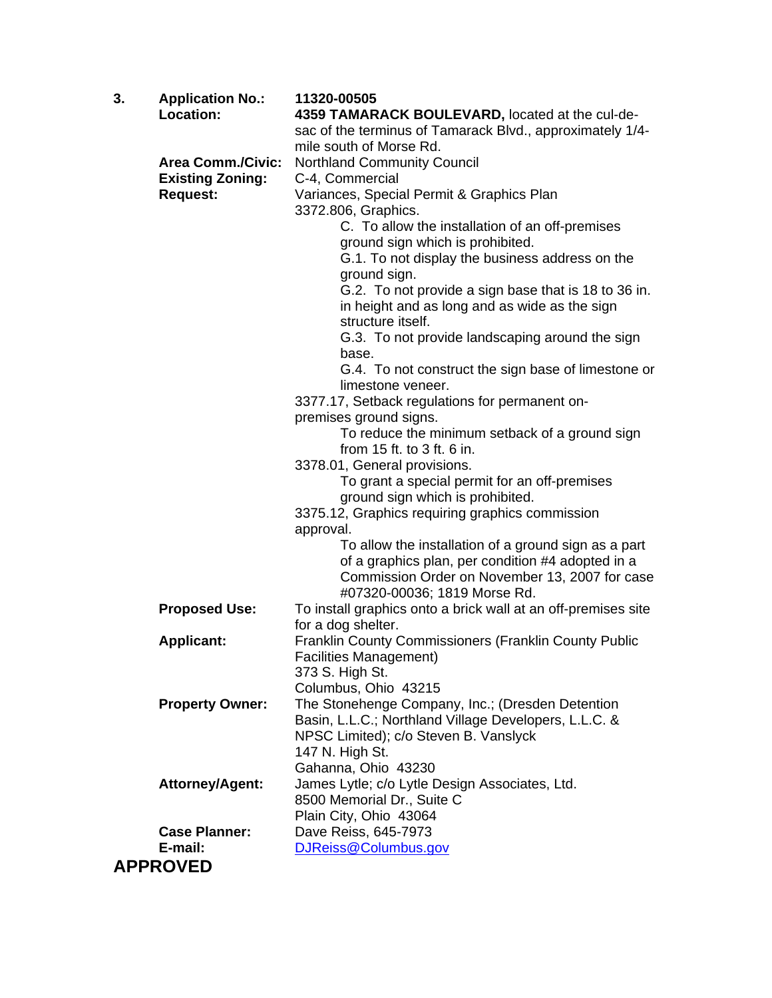| 3. | <b>Application No.:</b><br>Location: | 11320-00505<br>4359 TAMARACK BOULEVARD, located at the cul-de-                 |
|----|--------------------------------------|--------------------------------------------------------------------------------|
|    |                                      | sac of the terminus of Tamarack Blvd., approximately 1/4-                      |
|    |                                      | mile south of Morse Rd.                                                        |
|    | <b>Area Comm./Civic:</b>             | <b>Northland Community Council</b>                                             |
|    | <b>Existing Zoning:</b>              | C-4, Commercial                                                                |
|    | <b>Request:</b>                      | Variances, Special Permit & Graphics Plan                                      |
|    |                                      | 3372.806, Graphics.                                                            |
|    |                                      | C. To allow the installation of an off-premises                                |
|    |                                      | ground sign which is prohibited.                                               |
|    |                                      | G.1. To not display the business address on the                                |
|    |                                      | ground sign.                                                                   |
|    |                                      | G.2. To not provide a sign base that is 18 to 36 in.                           |
|    |                                      | in height and as long and as wide as the sign                                  |
|    |                                      | structure itself.                                                              |
|    |                                      | G.3. To not provide landscaping around the sign                                |
|    |                                      | base.                                                                          |
|    |                                      | G.4. To not construct the sign base of limestone or<br>limestone veneer.       |
|    |                                      | 3377.17, Setback regulations for permanent on-                                 |
|    |                                      | premises ground signs.                                                         |
|    |                                      | To reduce the minimum setback of a ground sign                                 |
|    |                                      | from $15$ ft. to $3$ ft. 6 in.                                                 |
|    |                                      | 3378.01, General provisions.                                                   |
|    |                                      | To grant a special permit for an off-premises                                  |
|    |                                      | ground sign which is prohibited.                                               |
|    |                                      | 3375.12, Graphics requiring graphics commission                                |
|    |                                      | approval.                                                                      |
|    |                                      | To allow the installation of a ground sign as a part                           |
|    |                                      | of a graphics plan, per condition #4 adopted in a                              |
|    |                                      | Commission Order on November 13, 2007 for case<br>#07320-00036; 1819 Morse Rd. |
|    | <b>Proposed Use:</b>                 | To install graphics onto a brick wall at an off-premises site                  |
|    |                                      | for a dog shelter.                                                             |
|    | <b>Applicant:</b>                    | Franklin County Commissioners (Franklin County Public                          |
|    |                                      | <b>Facilities Management)</b>                                                  |
|    |                                      | 373 S. High St.                                                                |
|    |                                      | Columbus, Ohio 43215                                                           |
|    | <b>Property Owner:</b>               | The Stonehenge Company, Inc.; (Dresden Detention                               |
|    |                                      | Basin, L.L.C.; Northland Village Developers, L.L.C. &                          |
|    |                                      | NPSC Limited); c/o Steven B. Vanslyck                                          |
|    |                                      | 147 N. High St.                                                                |
|    |                                      | Gahanna, Ohio 43230                                                            |
|    | <b>Attorney/Agent:</b>               | James Lytle; c/o Lytle Design Associates, Ltd.                                 |
|    |                                      | 8500 Memorial Dr., Suite C                                                     |
|    | <b>Case Planner:</b>                 | Plain City, Ohio 43064<br>Dave Reiss, 645-7973                                 |
|    | E-mail:                              | DJReiss@Columbus.gov                                                           |
|    | <b>APPROVED</b>                      |                                                                                |
|    |                                      |                                                                                |